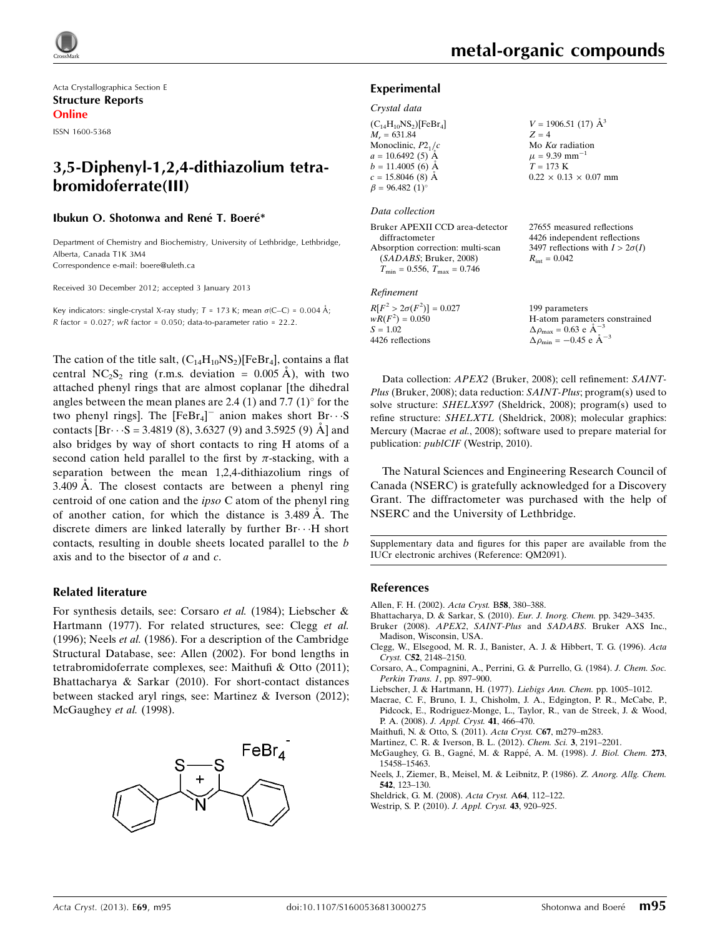Acta Crystallographica Section E Structure Reports Online ISSN 1600-5368

# 3,5-Diphenyl-1,2,4-dithiazolium tetrabromidoferrate(III)

#### Ibukun O. Shotonwa and René T. Boeré\*

Department of Chemistry and Biochemistry, University of Lethbridge, Lethbridge, Alberta, Canada T1K 3M4 Correspondence e-mail: [boere@uleth.ca](https://scripts.iucr.org/cgi-bin/cr.cgi?rm=pdfbb&cnor=qm2091&bbid=BB13)

Received 30 December 2012; accepted 3 January 2013

Key indicators: single-crystal X-ray study;  $T = 173$  K; mean  $\sigma$ (C–C) = 0.004 Å;  $R$  factor = 0.027;  $wR$  factor = 0.050; data-to-parameter ratio = 22.2.

The cation of the title salt,  $(C_{14}H_{10}NS_2)[FeBr_4]$ , contains a flat central NC<sub>2</sub>S<sub>2</sub> ring (r.m.s. deviation =  $0.005$  Å), with two attached phenyl rings that are almost coplanar [the dihedral angles between the mean planes are 2.4 (1) and 7.7 (1) $\textdegree$  for the two phenyl rings]. The  $[FeBr_4]$ <sup>-</sup> anion makes short  $Br\cdots$ S contacts  $[Br\cdots S = 3.4819 (8), 3.6327 (9)$  and 3.5925 (9)  $\AA$  and also bridges by way of short contacts to ring H atoms of a second cation held parallel to the first by  $\pi$ -stacking, with a separation between the mean 1,2,4-dithiazolium rings of  $3.409$  Å. The closest contacts are between a phenyl ring centroid of one cation and the ipso C atom of the phenyl ring of another cation, for which the distance is 3.489 Å. The discrete dimers are linked laterally by further  $Br\cdots H$  short contacts, resulting in double sheets located parallel to the b axis and to the bisector of  $a$  and  $c$ .

#### Related literature

For synthesis details, see: Corsaro et al. (1984); Liebscher & Hartmann (1977). For related structures, see: Clegg et al. (1996); Neels et al. (1986). For a description of the Cambridge Structural Database, see: Allen (2002). For bond lengths in tetrabromidoferrate complexes, see: Maithufi & Otto (2011); Bhattacharya & Sarkar (2010). For short-contact distances between stacked aryl rings, see: Martinez & Iverson (2012); McGaughey et al. (1998).



#### Experimental

#### Crystal data

| $(C_{14}H_{10}NS_2)$ [FeBr <sub>4</sub> ] |  |
|-------------------------------------------|--|
| $M_r = 631.84$                            |  |
| Monoclinic, $P21/c$                       |  |
| $a = 10.6492(5)$ Å                        |  |
| $b = 11.4005$ (6) Å                       |  |
| $c = 15.8046$ (8) Å                       |  |
| $\beta = 96.482(1)$ °                     |  |

#### Data collection

Bruker APEXII CCD area-detector diffractometer Absorption correction: multi-scan (SADABS; Bruker, 2008)  $T_{\text{min}} = 0.556$ ,  $T_{\text{max}} = 0.746$ 

#### Refinement

 $R[F^2 > 2\sigma(F^2)] = 0.027$  $wR(F^2) = 0.050$  $S = 1.02$ 4426 reflections

 $V = 1906.51$  (17)  $\AA^3$  $Z = 4$ Mo  $K\alpha$  radiation  $\mu$  = 9.39 mm<sup>-1</sup>  $T = 173 K$  $0.22 \times 0.13 \times 0.07$  mm

27655 measured reflections 4426 independent reflections 3497 reflections with  $I > 2\sigma(I)$  $R_{\text{int}} = 0.042$ 

199 parameters H-atom parameters constrained  $\Delta \rho_{\text{max}} = 0.63 \text{ e A}^{-3}$  $\Delta \rho_{\text{min}} = -0.45$  e  $\rm{\AA}^{-3}$ 

Data collection: APEX2 (Bruker, 2008); cell refinement: SAINT-Plus (Bruker, 2008); data reduction: SAINT-Plus; program(s) used to solve structure: SHELXS97 (Sheldrick, 2008); program(s) used to refine structure: SHELXTL (Sheldrick, 2008); molecular graphics: Mercury (Macrae et al., 2008); software used to prepare material for publication: publCIF (Westrip, 2010).

The Natural Sciences and Engineering Research Council of Canada (NSERC) is gratefully acknowledged for a Discovery Grant. The diffractometer was purchased with the help of NSERC and the University of Lethbridge.

Supplementary data and figures for this paper are available from the IUCr electronic archives (Reference: QM2091).

#### References

- [Allen, F. H. \(2002\).](https://scripts.iucr.org/cgi-bin/cr.cgi?rm=pdfbb&cnor=qm2091&bbid=BB1) Acta Cryst. B58, 380–388.
- [Bhattacharya, D. & Sarkar, S. \(2010\).](https://scripts.iucr.org/cgi-bin/cr.cgi?rm=pdfbb&cnor=qm2091&bbid=BB2) Eur. J. Inorg. Chem. pp. 3429–3435.
- Bruker (2008). APEX2, SAINT-Plus and SADABS[. Bruker AXS Inc.,](https://scripts.iucr.org/cgi-bin/cr.cgi?rm=pdfbb&cnor=qm2091&bbid=BB3) [Madison, Wisconsin, USA.](https://scripts.iucr.org/cgi-bin/cr.cgi?rm=pdfbb&cnor=qm2091&bbid=BB3)
- [Clegg, W., Elsegood, M. R. J., Banister, A. J. & Hibbert, T. G. \(1996\).](https://scripts.iucr.org/cgi-bin/cr.cgi?rm=pdfbb&cnor=qm2091&bbid=BB4) Acta Cryst. C52[, 2148–2150.](https://scripts.iucr.org/cgi-bin/cr.cgi?rm=pdfbb&cnor=qm2091&bbid=BB4)
- [Corsaro, A., Compagnini, A., Perrini, G. & Purrello, G. \(1984\).](https://scripts.iucr.org/cgi-bin/cr.cgi?rm=pdfbb&cnor=qm2091&bbid=BB5) J. Chem. Soc. [Perkin Trans. 1](https://scripts.iucr.org/cgi-bin/cr.cgi?rm=pdfbb&cnor=qm2091&bbid=BB5), pp. 897–900.
- [Liebscher, J. & Hartmann, H. \(1977\).](https://scripts.iucr.org/cgi-bin/cr.cgi?rm=pdfbb&cnor=qm2091&bbid=BB6) Liebigs Ann. Chem. pp. 1005–1012.
- [Macrae, C. F., Bruno, I. J., Chisholm, J. A., Edgington, P. R., McCabe, P.,](https://scripts.iucr.org/cgi-bin/cr.cgi?rm=pdfbb&cnor=qm2091&bbid=BB7) [Pidcock, E., Rodriguez-Monge, L., Taylor, R., van de Streek, J. & Wood,](https://scripts.iucr.org/cgi-bin/cr.cgi?rm=pdfbb&cnor=qm2091&bbid=BB7) P. A. (2008). [J. Appl. Cryst.](https://scripts.iucr.org/cgi-bin/cr.cgi?rm=pdfbb&cnor=qm2091&bbid=BB7) 41, 466–470.
- [Maithufi, N. & Otto, S. \(2011\).](https://scripts.iucr.org/cgi-bin/cr.cgi?rm=pdfbb&cnor=qm2091&bbid=BB8) Acta Cryst. C67, m279–m283.
- [Martinez, C. R. & Iverson, B. L. \(2012\).](https://scripts.iucr.org/cgi-bin/cr.cgi?rm=pdfbb&cnor=qm2091&bbid=BB9) Chem. Sci. 3, 2191–2201.
- McGaughey, G. B., Gagné, M. & Rappé, A. M. (1998). J. Biol. Chem. 273, [15458–15463.](https://scripts.iucr.org/cgi-bin/cr.cgi?rm=pdfbb&cnor=qm2091&bbid=BB10)
- [Neels, J., Ziemer, B., Meisel, M. & Leibnitz, P. \(1986\).](https://scripts.iucr.org/cgi-bin/cr.cgi?rm=pdfbb&cnor=qm2091&bbid=BB11) Z. Anorg. Allg. Chem. 542[, 123–130.](https://scripts.iucr.org/cgi-bin/cr.cgi?rm=pdfbb&cnor=qm2091&bbid=BB11)
- [Sheldrick, G. M. \(2008\).](https://scripts.iucr.org/cgi-bin/cr.cgi?rm=pdfbb&cnor=qm2091&bbid=BB12) Acta Cryst. A64, 112–122.
- [Westrip, S. P. \(2010\).](https://scripts.iucr.org/cgi-bin/cr.cgi?rm=pdfbb&cnor=qm2091&bbid=BB13) J. Appl. Cryst. 43, 920–925.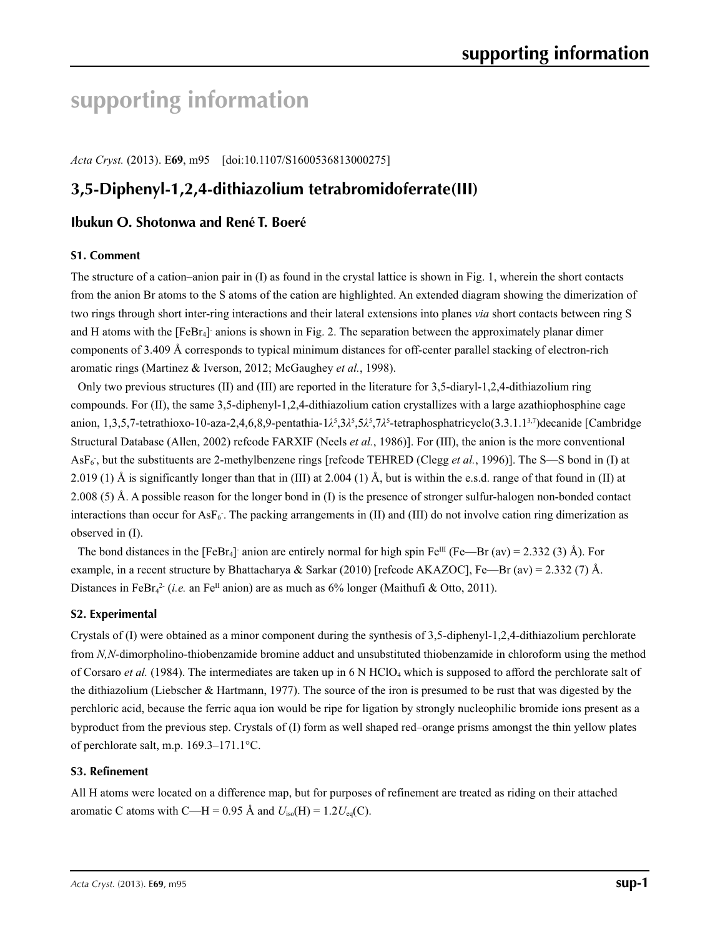# **supporting information**

*Acta Cryst.* (2013). E**69**, m95 [doi:10.1107/S1600536813000275]

# **3,5-Diphenyl-1,2,4-dithiazolium tetrabromidoferrate(III)**

## **Ibukun O. Shotonwa and René T. Boeré**

#### **S1. Comment**

The structure of a cation–anion pair in (I) as found in the crystal lattice is shown in Fig. 1, wherein the short contacts from the anion Br atoms to the S atoms of the cation are highlighted. An extended diagram showing the dimerization of two rings through short inter-ring interactions and their lateral extensions into planes *via* short contacts between ring S and H atoms with the [FeBr<sub>4</sub>] anions is shown in Fig. 2. The separation between the approximately planar dimer components of 3.409 Å corresponds to typical minimum distances for off-center parallel stacking of electron-rich aromatic rings (Martinez & Iverson, 2012; McGaughey *et al.*, 1998).

Only two previous structures (II) and (III) are reported in the literature for 3,5-diaryl-1,2,4-dithiazolium ring compounds. For (II), the same 3,5-diphenyl-1,2,4-dithiazolium cation crystallizes with a large azathiophosphine cage anion, 1,3,5,7-tetrathioxo-10-aza-2,4,6,8,9-pentathia-1λ<sup>5</sup>,3λ<sup>5</sup>,5λ<sup>5</sup>,7λ<sup>5</sup>-tetraphosphatricyclo(3.3.1.1<sup>3,7</sup>)decanide [Cambridge Structural Database (Allen, 2002) refcode FARXIF (Neels *et al.*, 1986)]. For (III), the anion is the more conventional AsF<sub>6</sub>, but the substituents are 2-methylbenzene rings [refcode TEHRED (Clegg *et al.*, 1996)]. The S-S bond in (I) at 2.019 (1) Å is significantly longer than that in (III) at 2.004 (1) Å, but is within the e.s.d. range of that found in (II) at 2.008 (5) Å. A possible reason for the longer bond in (I) is the presence of stronger sulfur-halogen non-bonded contact interactions than occur for  $\text{AsF}_6$ . The packing arrangements in (II) and (III) do not involve cation ring dimerization as observed in (I).

The bond distances in the [FeBr<sub>4</sub>]<sup>-</sup> anion are entirely normal for high spin Fe<sup>III</sup> (Fe—Br (av) = 2.332 (3) Å). For example, in a recent structure by Bhattacharya & Sarkar (2010) [refcode AKAZOC], Fe—Br (av) = 2.332 (7) Å. Distances in FeBr<sub>4</sub><sup>2</sup> (*i.e.* an Fe<sup>II</sup> anion) are as much as 6% longer (Maithufi & Otto, 2011).

#### **S2. Experimental**

Crystals of (I) were obtained as a minor component during the synthesis of 3,5-diphenyl-1,2,4-dithiazolium perchlorate from *N,N*-dimorpholino-thiobenzamide bromine adduct and unsubstituted thiobenzamide in chloroform using the method of Corsaro *et al.* (1984). The intermediates are taken up in 6 N HClO4 which is supposed to afford the perchlorate salt of the dithiazolium (Liebscher & Hartmann, 1977). The source of the iron is presumed to be rust that was digested by the perchloric acid, because the ferric aqua ion would be ripe for ligation by strongly nucleophilic bromide ions present as a byproduct from the previous step. Crystals of (I) form as well shaped red–orange prisms amongst the thin yellow plates of perchlorate salt, m.p. 169.3–171.1°C.

#### **S3. Refinement**

All H atoms were located on a difference map, but for purposes of refinement are treated as riding on their attached aromatic C atoms with C—H = 0.95 Å and  $U_{iso}(H) = 1.2U_{eq}(C)$ .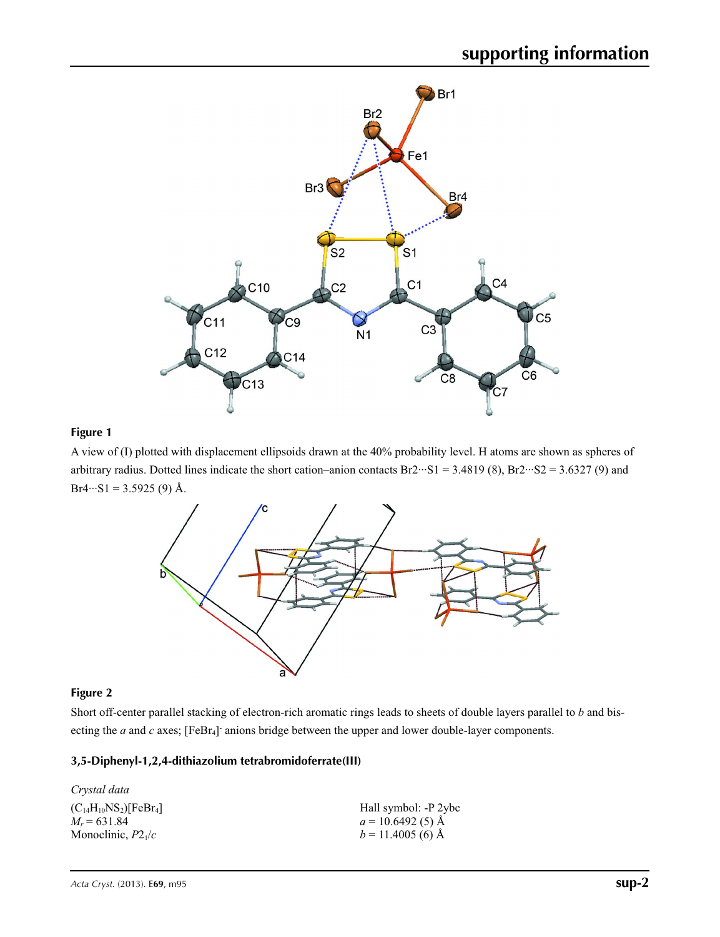

## **Figure 1**

A view of (I) plotted with displacement ellipsoids drawn at the 40% probability level. H atoms are shown as spheres of arbitrary radius. Dotted lines indicate the short cation–anion contacts  $Br2 \cdots SI = 3.4819$  (8),  $Br2 \cdots S2 = 3.6327$  (9) and  $Br4\cdots SI = 3.5925(9)$  Å.



### **Figure 2**

Short off-center parallel stacking of electron-rich aromatic rings leads to sheets of double layers parallel to *b* and bisecting the *a* and *c* axes; [FeBr<sub>4</sub>] anions bridge between the upper and lower double-layer components.

### **3,5-Diphenyl-1,2,4-dithiazolium tetrabromidoferrate(III)**

| Crystal data                 |                      |
|------------------------------|----------------------|
| $(C_{14}H_{10}NS_2)[FeBr_4]$ | Hall symbol: -P 2ybc |
| $M_r = 631.84$               | $a = 10.6492(5)$ Å   |
| Monoclinic, $P2_1/c$         | $b = 11.4005$ (6) Å  |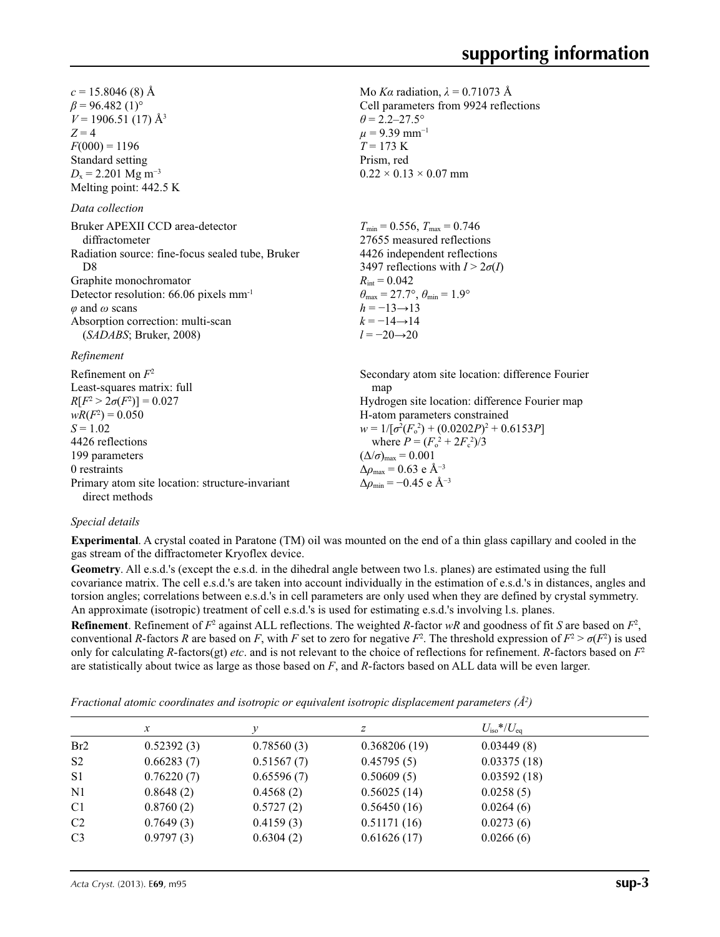Mo *Kα* radiation,  $\lambda = 0.71073$  Å Cell parameters from 9924 reflections

 $\theta = 2.2 - 27.5^{\circ}$  $\mu$  = 9.39 mm<sup>-1</sup>  $T = 173$  K Prism, red

 $0.22 \times 0.13 \times 0.07$  mm

 $c = 15.8046(8)$  Å  $\beta$  = 96.482 (1)<sup>o</sup>  $V = 1906.51(17)$  Å<sup>3</sup>  $Z = 4$  $F(000) = 1196$ Standard setting *D*<sub>x</sub> = 2.201 Mg m<sup>-3</sup> Melting point: 442.5 K

### *Data collection*

| Bruker APEXII CCD area-detector                    | $T_{\min} = 0.556$ , $T_{\max} = 0.746$<br>27655 measured reflections   |  |
|----------------------------------------------------|-------------------------------------------------------------------------|--|
| diffractometer                                     |                                                                         |  |
| Radiation source: fine-focus sealed tube, Bruker   | 4426 independent reflections                                            |  |
| D8                                                 | 3497 reflections with $I > 2\sigma(I)$                                  |  |
| Graphite monochromator                             | $R_{\rm int} = 0.042$                                                   |  |
| Detector resolution: 66.06 pixels mm <sup>-1</sup> | $\theta_{\text{max}} = 27.7^{\circ}, \theta_{\text{min}} = 1.9^{\circ}$ |  |
| $\varphi$ and $\omega$ scans                       | $h = -13 \rightarrow 13$                                                |  |
| Absorption correction: multi-scan                  | $k = -14 \rightarrow 14$                                                |  |
| (SADABS; Bruker, 2008)                             | $l = -20 \rightarrow 20$                                                |  |
|                                                    |                                                                         |  |

#### *Refinement*

Refinement on *F*<sup>2</sup> Least-squares matrix: full  $R[F^2 > 2\sigma(F^2)] = 0.027$  $wR(F^2) = 0.050$  $S = 1.02$ 4426 reflections 199 parameters 0 restraints Primary atom site location: structure-invariant direct methods Secondary atom site location: difference Fourier map Hydrogen site location: difference Fourier map H-atom parameters constrained  $w = 1/[\sigma^2 (F_o^2) + (0.0202P)^2 + 0.6153P]$ where  $P = (F_o^2 + 2F_c^2)/3$  $(\Delta/\sigma)_{\text{max}} = 0.001$  $\Delta\rho_{\text{max}} = 0.63$  e Å<sup>-3</sup>  $\Delta\rho_{\rm min} = -0.45$  e Å<sup>-3</sup>

#### *Special details*

**Experimental**. A crystal coated in Paratone (TM) oil was mounted on the end of a thin glass capillary and cooled in the gas stream of the diffractometer Kryoflex device.

**Geometry**. All e.s.d.'s (except the e.s.d. in the dihedral angle between two l.s. planes) are estimated using the full covariance matrix. The cell e.s.d.'s are taken into account individually in the estimation of e.s.d.'s in distances, angles and torsion angles; correlations between e.s.d.'s in cell parameters are only used when they are defined by crystal symmetry. An approximate (isotropic) treatment of cell e.s.d.'s is used for estimating e.s.d.'s involving l.s. planes.

**Refinement**. Refinement of  $F^2$  against ALL reflections. The weighted R-factor wR and goodness of fit *S* are based on  $F^2$ , conventional *R*-factors *R* are based on *F*, with *F* set to zero for negative  $F^2$ . The threshold expression of  $F^2 > \sigma(F^2)$  is used only for calculating *R*-factors(gt) *etc*. and is not relevant to the choice of reflections for refinement. *R*-factors based on *F*<sup>2</sup> are statistically about twice as large as those based on *F*, and *R*-factors based on ALL data will be even larger.

*Fractional atomic coordinates and isotropic or equivalent isotropic displacement parameters (Å2 )*

|                 | $\mathcal{X}$ |            | z            | $U_{\rm iso}*/U_{\rm eq}$ |  |
|-----------------|---------------|------------|--------------|---------------------------|--|
| Br <sub>2</sub> | 0.52392(3)    | 0.78560(3) | 0.368206(19) | 0.03449(8)                |  |
| S <sub>2</sub>  | 0.66283(7)    | 0.51567(7) | 0.45795(5)   | 0.03375(18)               |  |
| S <sub>1</sub>  | 0.76220(7)    | 0.65596(7) | 0.50609(5)   | 0.03592(18)               |  |
| N <sub>1</sub>  | 0.8648(2)     | 0.4568(2)  | 0.56025(14)  | 0.0258(5)                 |  |
| C1              | 0.8760(2)     | 0.5727(2)  | 0.56450(16)  | 0.0264(6)                 |  |
| C <sub>2</sub>  | 0.7649(3)     | 0.4159(3)  | 0.51171(16)  | 0.0273(6)                 |  |
| C <sub>3</sub>  | 0.9797(3)     | 0.6304(2)  | 0.61626(17)  | 0.0266(6)                 |  |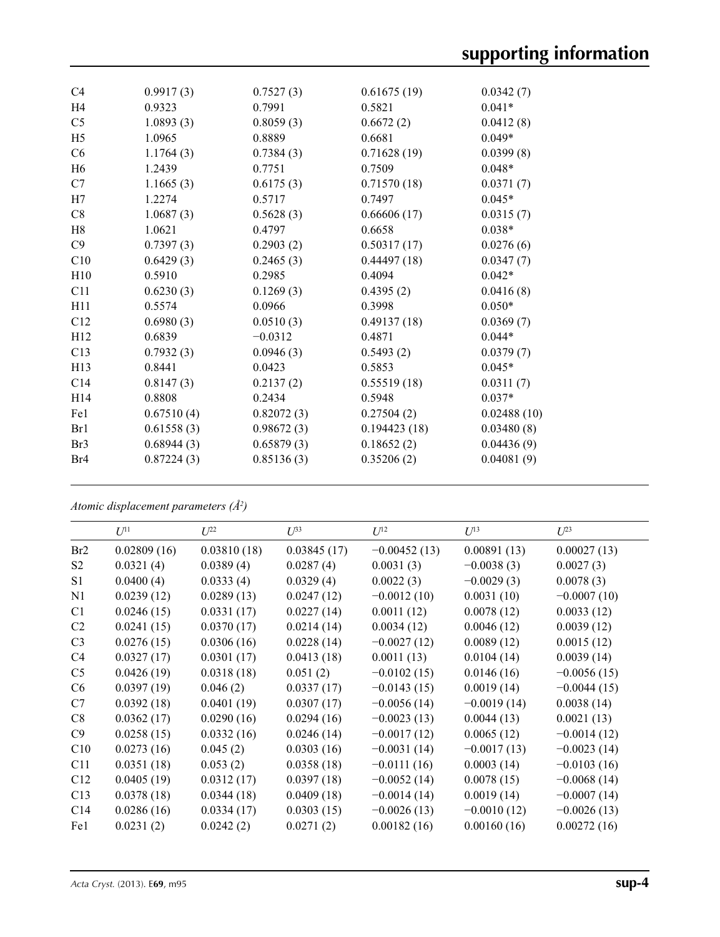| C <sub>4</sub>  | 0.9917(3)  | 0.7527(3)  | 0.61675(19)  | 0.0342(7)   |
|-----------------|------------|------------|--------------|-------------|
| H <sub>4</sub>  | 0.9323     | 0.7991     | 0.5821       | $0.041*$    |
| C <sub>5</sub>  | 1.0893(3)  | 0.8059(3)  | 0.6672(2)    | 0.0412(8)   |
| H <sub>5</sub>  | 1.0965     | 0.8889     | 0.6681       | $0.049*$    |
| C6              | 1.1764(3)  | 0.7384(3)  | 0.71628(19)  | 0.0399(8)   |
| H <sub>6</sub>  | 1.2439     | 0.7751     | 0.7509       | $0.048*$    |
| C7              | 1.1665(3)  | 0.6175(3)  | 0.71570(18)  | 0.0371(7)   |
| H7              | 1.2274     | 0.5717     | 0.7497       | $0.045*$    |
| C8              | 1.0687(3)  | 0.5628(3)  | 0.66606(17)  | 0.0315(7)   |
| H8              | 1.0621     | 0.4797     | 0.6658       | $0.038*$    |
| C9              | 0.7397(3)  | 0.2903(2)  | 0.50317(17)  | 0.0276(6)   |
| C10             | 0.6429(3)  | 0.2465(3)  | 0.44497(18)  | 0.0347(7)   |
| H10             | 0.5910     | 0.2985     | 0.4094       | $0.042*$    |
| C11             | 0.6230(3)  | 0.1269(3)  | 0.4395(2)    | 0.0416(8)   |
| H11             | 0.5574     | 0.0966     | 0.3998       | $0.050*$    |
| C12             | 0.6980(3)  | 0.0510(3)  | 0.49137(18)  | 0.0369(7)   |
| H12             | 0.6839     | $-0.0312$  | 0.4871       | $0.044*$    |
| C13             | 0.7932(3)  | 0.0946(3)  | 0.5493(2)    | 0.0379(7)   |
| H <sub>13</sub> | 0.8441     | 0.0423     | 0.5853       | $0.045*$    |
| C14             | 0.8147(3)  | 0.2137(2)  | 0.55519(18)  | 0.0311(7)   |
| H <sub>14</sub> | 0.8808     | 0.2434     | 0.5948       | $0.037*$    |
| Fe1             | 0.67510(4) | 0.82072(3) | 0.27504(2)   | 0.02488(10) |
| Br1             | 0.61558(3) | 0.98672(3) | 0.194423(18) | 0.03480(8)  |
| Br <sub>3</sub> | 0.68944(3) | 0.65879(3) | 0.18652(2)   | 0.04436(9)  |
| Br <sub>4</sub> | 0.87224(3) | 0.85136(3) | 0.35206(2)   | 0.04081(9)  |
|                 |            |            |              |             |

*Atomic displacement parameters (Å2 )*

|                | $U^{11}$    | $U^{22}$    | $\overline{L^{33}}$ | $U^{12}$       | $U^{13}$      | $U^{23}$      |
|----------------|-------------|-------------|---------------------|----------------|---------------|---------------|
| Br2            | 0.02809(16) | 0.03810(18) | 0.03845(17)         | $-0.00452(13)$ | 0.00891(13)   | 0.00027(13)   |
| S <sub>2</sub> | 0.0321(4)   | 0.0389(4)   | 0.0287(4)           | 0.0031(3)      | $-0.0038(3)$  | 0.0027(3)     |
| S <sub>1</sub> | 0.0400(4)   | 0.0333(4)   | 0.0329(4)           | 0.0022(3)      | $-0.0029(3)$  | 0.0078(3)     |
| N1             | 0.0239(12)  | 0.0289(13)  | 0.0247(12)          | $-0.0012(10)$  | 0.0031(10)    | $-0.0007(10)$ |
| C <sub>1</sub> | 0.0246(15)  | 0.0331(17)  | 0.0227(14)          | 0.0011(12)     | 0.0078(12)    | 0.0033(12)    |
| C <sub>2</sub> | 0.0241(15)  | 0.0370(17)  | 0.0214(14)          | 0.0034(12)     | 0.0046(12)    | 0.0039(12)    |
| C <sub>3</sub> | 0.0276(15)  | 0.0306(16)  | 0.0228(14)          | $-0.0027(12)$  | 0.0089(12)    | 0.0015(12)    |
| C4             | 0.0327(17)  | 0.0301(17)  | 0.0413(18)          | 0.0011(13)     | 0.0104(14)    | 0.0039(14)    |
| C <sub>5</sub> | 0.0426(19)  | 0.0318(18)  | 0.051(2)            | $-0.0102(15)$  | 0.0146(16)    | $-0.0056(15)$ |
| C6             | 0.0397(19)  | 0.046(2)    | 0.0337(17)          | $-0.0143(15)$  | 0.0019(14)    | $-0.0044(15)$ |
| C7             | 0.0392(18)  | 0.0401(19)  | 0.0307(17)          | $-0.0056(14)$  | $-0.0019(14)$ | 0.0038(14)    |
| C8             | 0.0362(17)  | 0.0290(16)  | 0.0294(16)          | $-0.0023(13)$  | 0.0044(13)    | 0.0021(13)    |
| C9             | 0.0258(15)  | 0.0332(16)  | 0.0246(14)          | $-0.0017(12)$  | 0.0065(12)    | $-0.0014(12)$ |
| C10            | 0.0273(16)  | 0.045(2)    | 0.0303(16)          | $-0.0031(14)$  | $-0.0017(13)$ | $-0.0023(14)$ |
| C11            | 0.0351(18)  | 0.053(2)    | 0.0358(18)          | $-0.0111(16)$  | 0.0003(14)    | $-0.0103(16)$ |
| C12            | 0.0405(19)  | 0.0312(17)  | 0.0397(18)          | $-0.0052(14)$  | 0.0078(15)    | $-0.0068(14)$ |
| C13            | 0.0378(18)  | 0.0344(18)  | 0.0409(18)          | $-0.0014(14)$  | 0.0019(14)    | $-0.0007(14)$ |
| C14            | 0.0286(16)  | 0.0334(17)  | 0.0303(15)          | $-0.0026(13)$  | $-0.0010(12)$ | $-0.0026(13)$ |
| Fe1            | 0.0231(2)   | 0.0242(2)   | 0.0271(2)           | 0.00182(16)    | 0.00160(16)   | 0.00272(16)   |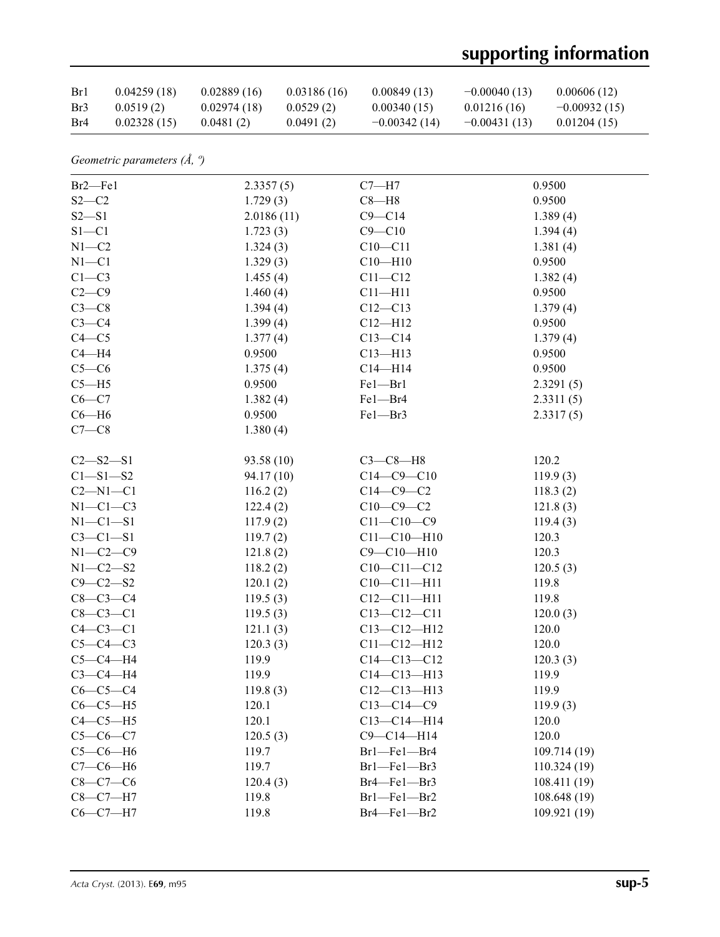# **supporting information**

| Br1 | 0.04259(18) | 0.02889(16) | 0.03186(16) | 0.00849(13)    | $-0.00040(13)$ | 0.00606(12)    |
|-----|-------------|-------------|-------------|----------------|----------------|----------------|
| Br3 | 0.0519(2)   | 0.02974(18) | 0.0529(2)   | 0.00340(15)    | 0.01216(16)    | $-0.00932(15)$ |
| Br4 | 0.02328(15) | 0.0481(2)   | 0.0491(2)   | $-0.00342(14)$ | $-0.00431(13)$ | 0.01204(15)    |

*Geometric parameters (Å, º)*

| $Br2$ –Fel     | 2.3357(5)  | $C7 - H7$         | 0.9500       |
|----------------|------------|-------------------|--------------|
| $S2-C2$        | 1.729(3)   | $C8 - H8$         | 0.9500       |
| $S2-S1$        | 2.0186(11) | $C9 - C14$        | 1.389(4)     |
| $S1 - C1$      | 1.723(3)   | $C9 - C10$        | 1.394(4)     |
| $N1 - C2$      | 1.324(3)   | $C10 - C11$       | 1.381(4)     |
| $N1 - C1$      | 1.329(3)   | $C10 - H10$       | 0.9500       |
| $C1-C3$        | 1.455(4)   | $C11 - C12$       | 1.382(4)     |
| $C2-C9$        | 1.460(4)   | $C11 - H11$       | 0.9500       |
| $C3-C8$        | 1.394(4)   | $C12 - C13$       | 1.379(4)     |
| $C3-C4$        | 1.399(4)   | $C12 - H12$       | 0.9500       |
| $C4 - C5$      | 1.377(4)   | $C13 - C14$       | 1.379(4)     |
| $C4 - H4$      | 0.9500     | $C13 - H13$       | 0.9500       |
| $C5-C6$        | 1.375(4)   | $C14 - H14$       | 0.9500       |
| $C5 - H5$      | 0.9500     | $Fe1 - Br1$       | 2.3291(5)    |
| $C6-C7$        | 1.382(4)   | Fel-Br4           | 2.3311(5)    |
| $C6 - H6$      | 0.9500     | Fel-Br3           | 2.3317(5)    |
| $C7-C8$        | 1.380(4)   |                   |              |
|                |            |                   |              |
| $C2 - S2 - S1$ | 93.58(10)  | $C3-C8-H8$        | 120.2        |
| $C1 - S1 - S2$ | 94.17(10)  | $C14 - C9 - C10$  | 119.9(3)     |
| $C2-M1-C1$     | 116.2(2)   | $C14-C9-C2$       | 118.3(2)     |
| $N1-C1-C3$     | 122.4(2)   | $C10-C9-C2$       | 121.8(3)     |
| $N1-C1-S1$     | 117.9(2)   | $C11 - C10 - C9$  | 119.4(3)     |
| $C3-C1-S1$     | 119.7(2)   | $C11 - C10 - H10$ | 120.3        |
| $N1-C2-C9$     | 121.8(2)   | $C9 - C10 - H10$  | 120.3        |
| $N1 - C2 - S2$ | 118.2(2)   | $C10-C11-C12$     | 120.5(3)     |
| $C9 - C2 - S2$ | 120.1(2)   | $C10-C11-H11$     | 119.8        |
| $C8 - C3 - C4$ | 119.5(3)   | $C12 - C11 - H11$ | 119.8        |
| $C8 - C3 - C1$ | 119.5(3)   | $C13 - C12 - C11$ | 120.0(3)     |
| $C4-C3-C1$     | 121.1(3)   | $C13 - C12 - H12$ | 120.0        |
| $C5-C4-C3$     | 120.3(3)   | $C11 - C12 - H12$ | 120.0        |
| $C5-C4-H4$     | 119.9      | $C14 - C13 - C12$ | 120.3(3)     |
| $C3-C4-H4$     | 119.9      | $C14 - C13 - H13$ | 119.9        |
| $C6-C5-C4$     | 119.8(3)   | $C12 - C13 - H13$ | 119.9        |
| $C6-C5-H5$     | 120.1      | $C13 - C14 - C9$  | 119.9(3)     |
| $C4-C5-H5$     | 120.1      | $C13 - C14 - H14$ | 120.0        |
| $C5-C6-C7$     | 120.5(3)   | $C9 - C14 - H14$  | 120.0        |
| $C5-C6-H6$     | 119.7      | Br1-Fe1-Br4       | 109.714 (19) |
| $C7-C6-H6$     | 119.7      | Brl-Fel-Br3       | 110.324(19)  |
| $C8-C7-C6$     | 120.4(3)   | Br4-Fel-Br3       | 108.411 (19) |
| $C8 - C7 - H7$ | 119.8      | Br1-Fe1-Br2       | 108.648 (19) |
| $C6-C7-H7$     | 119.8      | Br4-Fel-Br2       | 109.921 (19) |